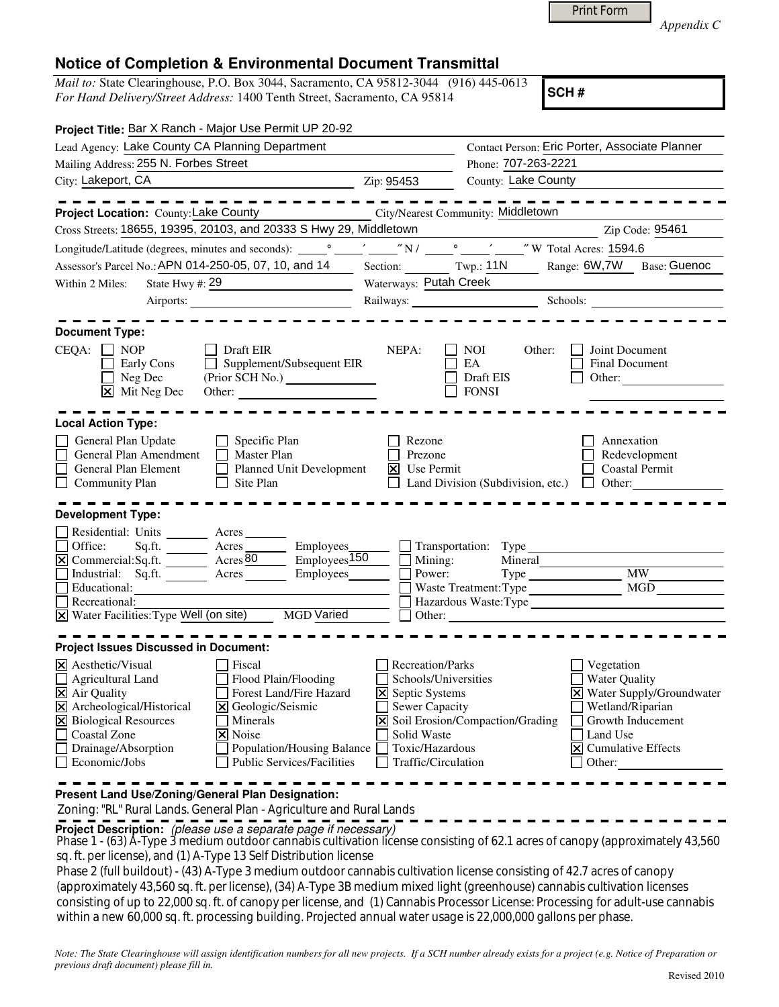Print Form

*Appendix C* 

## **Notice of Completion & Environmental Document Transmittal**

*Mail to:* State Clearinghouse, P.O. Box 3044, Sacramento, CA 95812-3044 (916) 445-0613 *For Hand Delivery/Street Address:* 1400 Tenth Street, Sacramento, CA 95814

**SCH #**

| Project Title: Bar X Ranch - Major Use Permit UP 20-92                                                                                                                                                                                                                                                                |                                                                                                                                                                                  |                                                                                                                                                                                                                                |                                                                                                               |                                                                                                                                                                 |
|-----------------------------------------------------------------------------------------------------------------------------------------------------------------------------------------------------------------------------------------------------------------------------------------------------------------------|----------------------------------------------------------------------------------------------------------------------------------------------------------------------------------|--------------------------------------------------------------------------------------------------------------------------------------------------------------------------------------------------------------------------------|---------------------------------------------------------------------------------------------------------------|-----------------------------------------------------------------------------------------------------------------------------------------------------------------|
| Lead Agency: Lake County CA Planning Department                                                                                                                                                                                                                                                                       |                                                                                                                                                                                  |                                                                                                                                                                                                                                | Contact Person: Eric Porter, Associate Planner                                                                |                                                                                                                                                                 |
| Mailing Address: 255 N. Forbes Street                                                                                                                                                                                                                                                                                 |                                                                                                                                                                                  | Phone: 707-263-2221                                                                                                                                                                                                            |                                                                                                               |                                                                                                                                                                 |
| City: Lakeport, CA                                                                                                                                                                                                                                                                                                    |                                                                                                                                                                                  | Zip: 95453                                                                                                                                                                                                                     | County: Lake County                                                                                           |                                                                                                                                                                 |
|                                                                                                                                                                                                                                                                                                                       |                                                                                                                                                                                  |                                                                                                                                                                                                                                |                                                                                                               |                                                                                                                                                                 |
| Project Location: County: Lake County                                                                                                                                                                                                                                                                                 |                                                                                                                                                                                  |                                                                                                                                                                                                                                | <b>City/Nearest Community: Middletown</b>                                                                     |                                                                                                                                                                 |
| Cross Streets: 18655, 19395, 20103, and 20333 S Hwy 29, Middletown                                                                                                                                                                                                                                                    |                                                                                                                                                                                  |                                                                                                                                                                                                                                |                                                                                                               | Zip Code: 95461                                                                                                                                                 |
|                                                                                                                                                                                                                                                                                                                       |                                                                                                                                                                                  |                                                                                                                                                                                                                                |                                                                                                               |                                                                                                                                                                 |
| Assessor's Parcel No.: APN 014-250-05, 07, 10, and 14                                                                                                                                                                                                                                                                 |                                                                                                                                                                                  |                                                                                                                                                                                                                                | Section: Twp.: 11N Range: 6W,7W                                                                               | Base: Guenoc                                                                                                                                                    |
| State Hwy #: $\frac{29}{ }$<br>Within 2 Miles:                                                                                                                                                                                                                                                                        |                                                                                                                                                                                  | Waterways: Putah Creek                                                                                                                                                                                                         |                                                                                                               |                                                                                                                                                                 |
|                                                                                                                                                                                                                                                                                                                       |                                                                                                                                                                                  | Railways: Schools: Schools: 2000 Schools: 2000 Schools: 2000 Schools: 2000 Schools: 2000 Schools: 2000 Schools: 2000 Schools: 2000 Schools: 2000 Schools: 2000 Schools: 2000 Schools: 2000 Schools: 2000 Schools: 2000 Schools |                                                                                                               |                                                                                                                                                                 |
|                                                                                                                                                                                                                                                                                                                       |                                                                                                                                                                                  |                                                                                                                                                                                                                                |                                                                                                               |                                                                                                                                                                 |
| <b>Document Type:</b>                                                                                                                                                                                                                                                                                                 |                                                                                                                                                                                  |                                                                                                                                                                                                                                |                                                                                                               |                                                                                                                                                                 |
| $CEQA: \Box NOP$<br>Early Cons<br>$\Box$ Neg Dec<br>$\boxed{\mathsf{x}}$ Mit Neg Dec                                                                                                                                                                                                                                  | Draft EIR<br>$\Box$ Supplement/Subsequent EIR<br>(Prior SCH No.)<br>Other:                                                                                                       | NEPA:                                                                                                                                                                                                                          | $\Box$ NOI<br>Other:<br>EA<br>Draft EIS<br><b>FONSI</b>                                                       | Joint Document<br>Final Document<br>Other:                                                                                                                      |
| <b>Local Action Type:</b>                                                                                                                                                                                                                                                                                             |                                                                                                                                                                                  |                                                                                                                                                                                                                                |                                                                                                               |                                                                                                                                                                 |
| General Plan Update<br>$\Box$ Specific Plan<br>General Plan Amendment<br>$\Box$ Master Plan<br>Planned Unit Development<br>General Plan Element<br>Community Plan<br>$\Box$ Site Plan                                                                                                                                 |                                                                                                                                                                                  | Rezone<br>Prezone<br>$X$ Use Permit                                                                                                                                                                                            |                                                                                                               | Annexation<br>Redevelopment<br><b>Coastal Permit</b><br>Land Division (Subdivision, etc.) $\Box$ Other:                                                         |
| <b>Development Type:</b>                                                                                                                                                                                                                                                                                              |                                                                                                                                                                                  |                                                                                                                                                                                                                                |                                                                                                               |                                                                                                                                                                 |
| Residential: Units ________ Acres _______<br>Office:<br>$\overline{\boxtimes}$ Commercial:Sq.ft. $\overline{\phantom{0}}$ Acres $\overline{\text{80}}$ Employees $\overline{\text{150}}$<br>Industrial: Sq.ft. Acres Employees<br>Educational:<br>Recreational:<br>X Water Facilities: Type Well (on site) MGD Varied | $Sq.ft.$ Acres $F(t)$ Employees<br><u> 1989 - Johann Barbara, martin amerikan basar dan basa dan basa dan basa dalam basa dalam basa dalam basa dala</u>                         | Power:                                                                                                                                                                                                                         | $\Box$ Transportation: Type<br>Mining:<br>Mineral<br>Type MW<br>Waste Treatment: Type<br>$\Box$ Other: $\Box$ | MGD                                                                                                                                                             |
| <b>Project Issues Discussed in Document:</b>                                                                                                                                                                                                                                                                          |                                                                                                                                                                                  |                                                                                                                                                                                                                                |                                                                                                               |                                                                                                                                                                 |
| $\boxtimes$ Aesthetic/Visual<br>$\Box$ Agricultural Land<br>$\overline{\mathbf{X}}$ Air Quality<br>X Archeological/Historical<br>X Biological Resources<br>Coastal Zone<br>Drainage/Absorption<br>Economic/Jobs                                                                                                       | Fiscal<br>Flood Plain/Flooding<br>Forest Land/Fire Hazard<br>X Geologic/Seismic<br>Minerals<br>$\times$ Noise<br>Population/Housing Balance<br><b>Public Services/Facilities</b> | Recreation/Parks<br>Schools/Universities<br><b>X</b> Septic Systems<br><b>Sewer Capacity</b><br>Solid Waste<br>Toxic/Hazardous<br>Traffic/Circulation                                                                          | X Soil Erosion/Compaction/Grading                                                                             | Vegetation<br>Water Quality<br>X Water Supply/Groundwater<br>Wetland/Riparian<br>Growth Inducement<br>Land Use<br>$\triangleright$ Cumulative Effects<br>Other: |

Zoning: "RL" Rural Lands. General Plan - Agriculture and Rural Lands

**Project Description:** (please use a separate page if necessary)

Phase 1 - (63) Å-Type 3 medium outdoor cannabis cultivation license consisting of 62.1 acres of canopy (approximately 43,560) sq. ft. per license), and (1) A-Type 13 Self Distribution license

Phase 2 (full buildout) - (43) A-Type 3 medium outdoor cannabis cultivation license consisting of 42.7 acres of canopy (approximately 43,560 sq. ft. per license), (34) A-Type 3B medium mixed light (greenhouse) cannabis cultivation licenses consisting of up to 22,000 sq. ft. of canopy per license, and (1) Cannabis Processor License: Processing for adult-use cannabis within a new 60,000 sq. ft. processing building. Projected annual water usage is 22,000,000 gallons per phase.

*Note: The State Clearinghouse will assign identification numbers for all new projects. If a SCH number already exists for a project (e.g. Notice of Preparation or previous draft document) please fill in.*